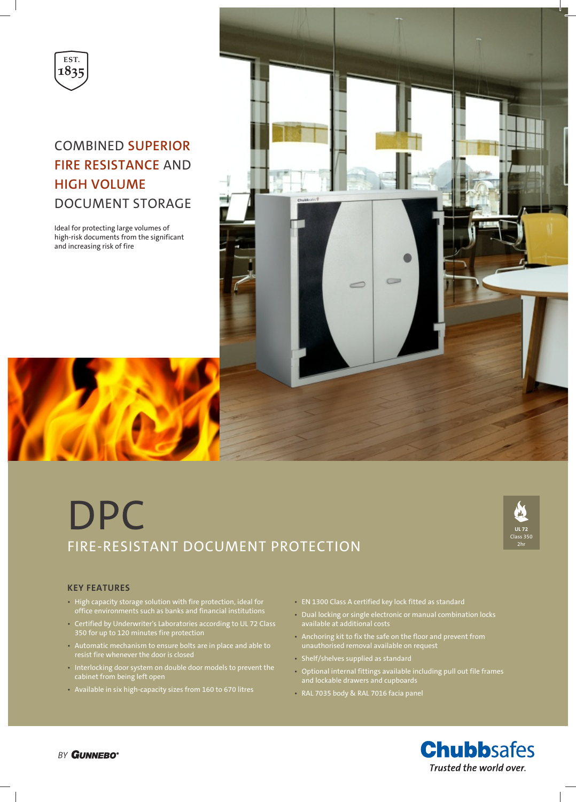

# COMBINED **SUPERIOR FIRE RESISTANCE** AND **HIGH VOLUME** DOCUMENT STORAGE

Ideal for protecting large volumes of high-risk documents from the significant and increasing risk of fire



# DPC FIRE-RESISTANT DOCUMENT PROTECTION



## **KEY FEATURES**

- High capacity storage solution with fire protection, ideal for office environments such as banks and financial institutions
- Certified by Underwriter's Laboratories according to UL 72 Class 350 for up to 120 minutes fire protection
- Automatic mechanism to ensure bolts are in place and able to resist fire whenever the door is closed
- Interlocking door system on double door models to prevent the cabinet from being left open
- Available in six high-capacity sizes from 160 to 670 litres
- EN 1300 Class A certified key lock fitted as standard
- Dual locking or single electronic or manual combination locks available at additional costs
- Anchoring kit to fix the safe on the floor and prevent from unauthorised removal available on request
- Shelf/shelves supplied as standard
- Optional internal fittings available including pull out file frames and lockable drawers and cupboards
- RAL 7035 body & RAL 7016 facia panel